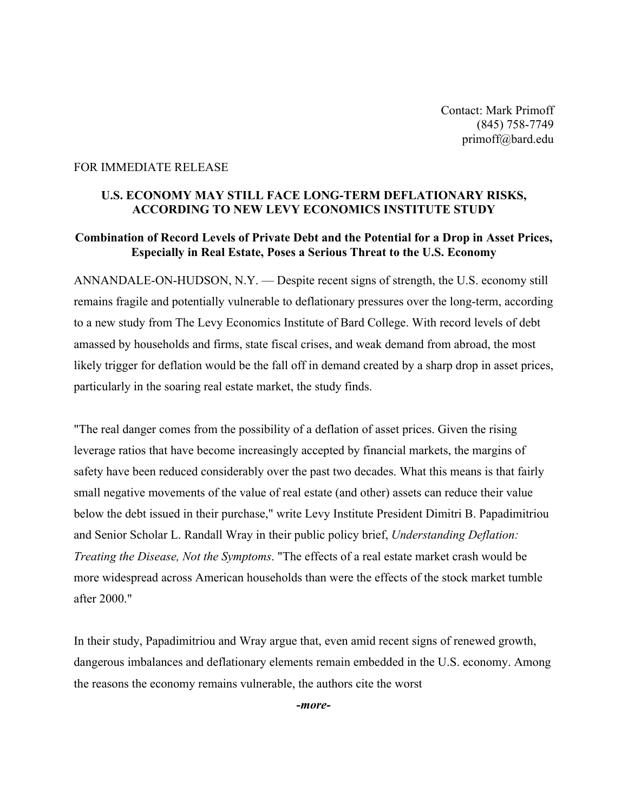Contact: Mark Primoff (845) 758-7749 [primoff@bard.edu](mailto:primoff@bard.edu)

## FOR IMMEDIATE RELEASE

## **U.S. ECONOMY MAY STILL FACE LONG-TERM DEFLATIONARY RISKS, ACCORDING TO NEW LEVY ECONOMICS INSTITUTE STUDY**

## **Combination of Record Levels of Private Debt and the Potential for a Drop in Asset Prices, Especially in Real Estate, Poses a Serious Threat to the U.S. Economy**

ANNANDALE-ON-HUDSON, N.Y. — Despite recent signs of strength, the U.S. economy still remains fragile and potentially vulnerable to deflationary pressures over the long-term, according to a new study from The Levy Economics Institute of Bard College. With record levels of debt amassed by households and firms, state fiscal crises, and weak demand from abroad, the most likely trigger for deflation would be the fall off in demand created by a sharp drop in asset prices, particularly in the soaring real estate market, the study finds.

"The real danger comes from the possibility of a deflation of asset prices. Given the rising leverage ratios that have become increasingly accepted by financial markets, the margins of safety have been reduced considerably over the past two decades. What this means is that fairly small negative movements of the value of real estate (and other) assets can reduce their value below the debt issued in their purchase," write Levy Institute President Dimitri B. Papadimitriou and Senior Scholar L. Randall Wray in their public policy brief, *Understanding Deflation: Treating the Disease, Not the Symptoms*. "The effects of a real estate market crash would be more widespread across American households than were the effects of the stock market tumble after 2000."

In their study, Papadimitriou and Wray argue that, even amid recent signs of renewed growth, dangerous imbalances and deflationary elements remain embedded in the U.S. economy. Among the reasons the economy remains vulnerable, the authors cite the worst

*-more-*